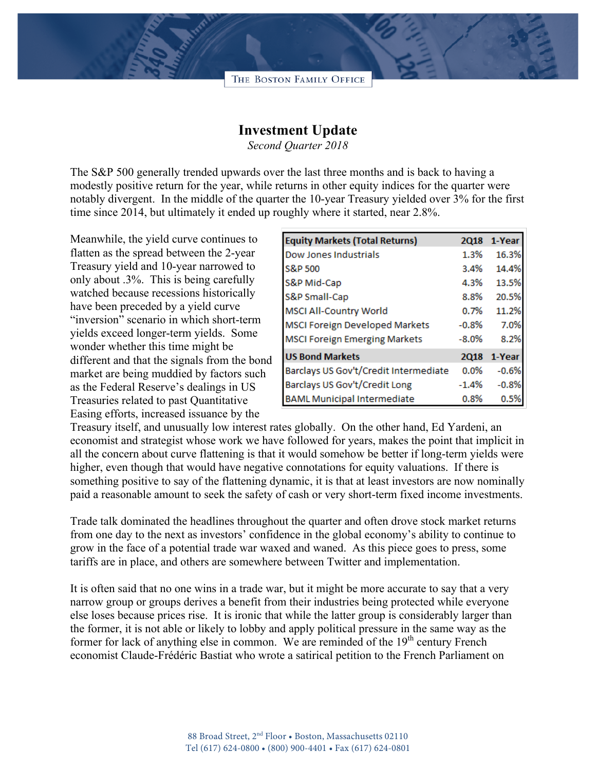

## **Investment Update**

*Second Quarter 2018*

The S&P 500 generally trended upwards over the last three months and is back to having a modestly positive return for the year, while returns in other equity indices for the quarter were notably divergent. In the middle of the quarter the 10-year Treasury yielded over 3% for the first time since 2014, but ultimately it ended up roughly where it started, near 2.8%.

Meanwhile, the yield curve continues to flatten as the spread between the 2-year Treasury yield and 10-year narrowed to only about .3%. This is being carefully watched because recessions historically have been preceded by a yield curve "inversion" scenario in which short-term yields exceed longer-term yields. Some wonder whether this time might be different and that the signals from the bond market are being muddied by factors such as the Federal Reserve's dealings in US Treasuries related to past Quantitative Easing efforts, increased issuance by the

| <b>Equity Markets (Total Returns)</b> | <b>2Q18</b> | 1-Year  |
|---------------------------------------|-------------|---------|
| Dow Jones Industrials                 | 1.3%        | 16.3%   |
| S&P 500                               | 3.4%        | 14.4%   |
| S&P Mid-Cap                           | 4.3%        | 13.5%   |
| S&P Small-Cap                         | 8.8%        | 20.5%   |
| <b>MSCI All-Country World</b>         | 0.7%        | 11.2%   |
| <b>MSCI Foreign Developed Markets</b> | $-0.8%$     | 7.0%    |
| <b>MSCI Foreign Emerging Markets</b>  | $-8.0%$     | 8.2%    |
| <b>US Bond Markets</b>                | <b>2Q18</b> | 1-Year  |
| Barclays US Gov't/Credit Intermediate | $0.0\%$     | $-0.6%$ |
| Barclays US Gov't/Credit Long         | $-1.4%$     | $-0.8%$ |
| <b>BAML Municipal Intermediate</b>    | 0.8%        | 0.5%    |

Treasury itself, and unusually low interest rates globally. On the other hand, Ed Yardeni, an economist and strategist whose work we have followed for years, makes the point that implicit in all the concern about curve flattening is that it would somehow be better if long-term yields were higher, even though that would have negative connotations for equity valuations. If there is something positive to say of the flattening dynamic, it is that at least investors are now nominally paid a reasonable amount to seek the safety of cash or very short-term fixed income investments.

Trade talk dominated the headlines throughout the quarter and often drove stock market returns from one day to the next as investors' confidence in the global economy's ability to continue to grow in the face of a potential trade war waxed and waned. As this piece goes to press, some tariffs are in place, and others are somewhere between Twitter and implementation.

It is often said that no one wins in a trade war, but it might be more accurate to say that a very narrow group or groups derives a benefit from their industries being protected while everyone else loses because prices rise. It is ironic that while the latter group is considerably larger than the former, it is not able or likely to lobby and apply political pressure in the same way as the former for lack of anything else in common. We are reminded of the  $19<sup>th</sup>$  century French economist Claude-Frédéric Bastiat who wrote a satirical petition to the French Parliament on